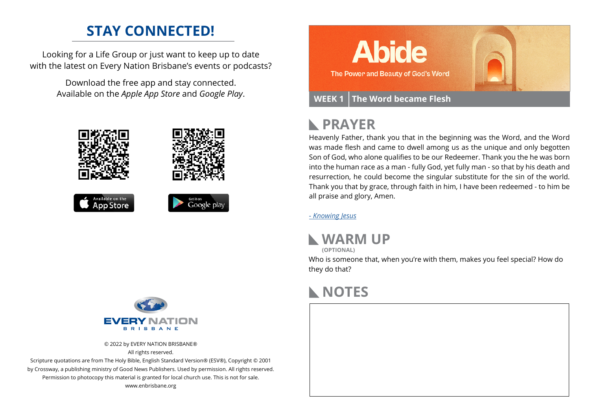### **STAY CONNECTED!**

Looking for a Life Group or just want to keep up to date with the latest on Every Nation Brisbane's events or podcasts?

> Download the free app and stay connected. Available on the *Apple App Store* and *Google Play*.





© 2022 by EVERY NATION BRISBANE® All rights reserved.

Scripture quotations are from The Holy Bible, English Standard Version® (ESV®), Copyright © 2001 by Crossway, a publishing ministry of Good News Publishers. Used by permission. All rights reserved. Permission to photocopy this material is granted for local church use. This is not for sale. www.enbrisbane.org



## **PRAYER**

Heavenly Father, thank you that in the beginning was the Word, and the Word was made flesh and came to dwell among us as the unique and only begotten Son of God, who alone qualifies to be our Redeemer. Thank you the he was born into the human race as a man - fully God, yet fully man - so that by his death and resurrection, he could become the singular substitute for the sin of the world. Thank you that by grace, through faith in him, I have been redeemed - to him be all praise and glory, Amen.

*[- Knowing Jesus]( https://prayer.knowing-jesus.com/John/1/14)*



**(OPTIONAL)**

Who is someone that, when you're with them, makes you feel special? How do they do that?

### **NOTES**